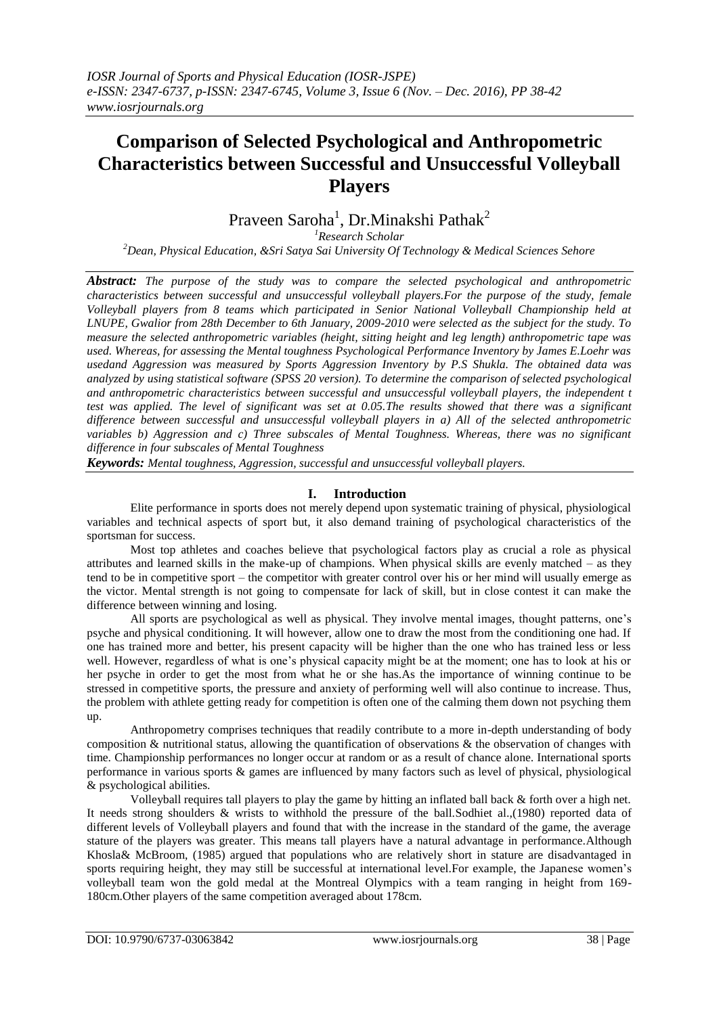# **Comparison of Selected Psychological and Anthropometric Characteristics between Successful and Unsuccessful Volleyball Players**

# Praveen Saroha<sup>1</sup>, Dr.Minakshi Pathak<sup>2</sup>

*<sup>1</sup>Research Scholar*

*<sup>2</sup>Dean, Physical Education, &Sri Satya Sai University Of Technology & Medical Sciences Sehore*

*Abstract: The purpose of the study was to compare the selected psychological and anthropometric characteristics between successful and unsuccessful volleyball players.For the purpose of the study, female Volleyball players from 8 teams which participated in Senior National Volleyball Championship held at LNUPE, Gwalior from 28th December to 6th January, 2009-2010 were selected as the subject for the study. To measure the selected anthropometric variables (height, sitting height and leg length) anthropometric tape was used. Whereas, for assessing the Mental toughness Psychological Performance Inventory by James E.Loehr was usedand Aggression was measured by Sports Aggression Inventory by P.S Shukla. The obtained data was analyzed by using statistical software (SPSS 20 version). To determine the comparison of selected psychological and anthropometric characteristics between successful and unsuccessful volleyball players, the independent t test was applied. The level of significant was set at 0.05.The results showed that there was a significant difference between successful and unsuccessful volleyball players in a) All of the selected anthropometric variables b) Aggression and c) Three subscales of Mental Toughness. Whereas, there was no significant difference in four subscales of Mental Toughness*

*Keywords: Mental toughness, Aggression, successful and unsuccessful volleyball players.*

# **I. Introduction**

Elite performance in sports does not merely depend upon systematic training of physical, physiological variables and technical aspects of sport but, it also demand training of psychological characteristics of the sportsman for success.

Most top athletes and coaches believe that psychological factors play as crucial a role as physical attributes and learned skills in the make-up of champions. When physical skills are evenly matched – as they tend to be in competitive sport – the competitor with greater control over his or her mind will usually emerge as the victor. Mental strength is not going to compensate for lack of skill, but in close contest it can make the difference between winning and losing.

All sports are psychological as well as physical. They involve mental images, thought patterns, one's psyche and physical conditioning. It will however, allow one to draw the most from the conditioning one had. If one has trained more and better, his present capacity will be higher than the one who has trained less or less well. However, regardless of what is one's physical capacity might be at the moment; one has to look at his or her psyche in order to get the most from what he or she has.As the importance of winning continue to be stressed in competitive sports, the pressure and anxiety of performing well will also continue to increase. Thus, the problem with athlete getting ready for competition is often one of the calming them down not psyching them up.

Anthropometry comprises techniques that readily contribute to a more in-depth understanding of body composition & nutritional status, allowing the quantification of observations & the observation of changes with time. Championship performances no longer occur at random or as a result of chance alone. International sports performance in various sports & games are influenced by many factors such as level of physical, physiological & psychological abilities.

Volleyball requires tall players to play the game by hitting an inflated ball back & forth over a high net. It needs strong shoulders & wrists to withhold the pressure of the ball.Sodhiet al.,(1980) reported data of different levels of Volleyball players and found that with the increase in the standard of the game, the average stature of the players was greater. This means tall players have a natural advantage in performance.Although Khosla& McBroom, (1985) argued that populations who are relatively short in stature are disadvantaged in sports requiring height, they may still be successful at international level.For example, the Japanese women's volleyball team won the gold medal at the Montreal Olympics with a team ranging in height from 169- 180cm.Other players of the same competition averaged about 178cm.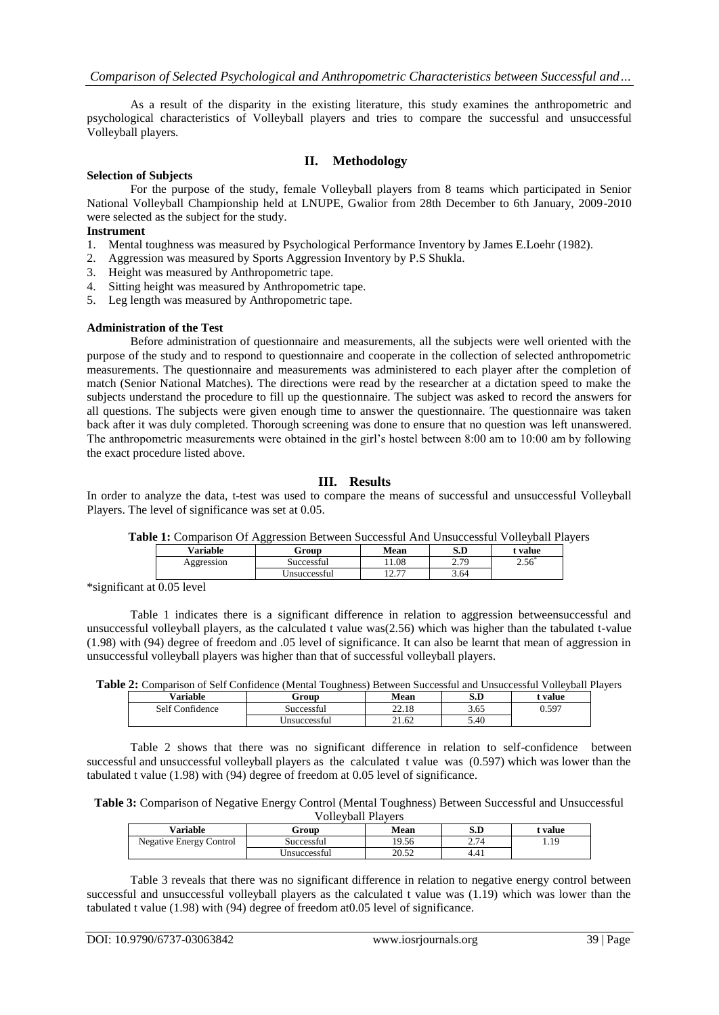As a result of the disparity in the existing literature, this study examines the anthropometric and psychological characteristics of Volleyball players and tries to compare the successful and unsuccessful Volleyball players.

### **II. Methodology**

#### **Selection of Subjects**

For the purpose of the study, female Volleyball players from 8 teams which participated in Senior National Volleyball Championship held at LNUPE, Gwalior from 28th December to 6th January, 2009-2010 were selected as the subject for the study.

#### **Instrument**

- 1. Mental toughness was measured by Psychological Performance Inventory by James E.Loehr (1982).
- 2. Aggression was measured by Sports Aggression Inventory by P.S Shukla.
- 3. Height was measured by Anthropometric tape.
- 4. Sitting height was measured by Anthropometric tape.
- 5. Leg length was measured by Anthropometric tape.

#### **Administration of the Test**

Before administration of questionnaire and measurements, all the subjects were well oriented with the purpose of the study and to respond to questionnaire and cooperate in the collection of selected anthropometric measurements. The questionnaire and measurements was administered to each player after the completion of match (Senior National Matches). The directions were read by the researcher at a dictation speed to make the subjects understand the procedure to fill up the questionnaire. The subject was asked to record the answers for all questions. The subjects were given enough time to answer the questionnaire. The questionnaire was taken back after it was duly completed. Thorough screening was done to ensure that no question was left unanswered. The anthropometric measurements were obtained in the girl's hostel between 8:00 am to 10:00 am by following the exact procedure listed above.

# **III. Results**

In order to analyze the data, t-test was used to compare the means of successful and unsuccessful Volleyball Players. The level of significance was set at 0.05.

|            | <b>Table 1.</b> Comparison Of Aggression Between Successful And Onsuccessful Voneyban Fig |                   |                                 |         |
|------------|-------------------------------------------------------------------------------------------|-------------------|---------------------------------|---------|
| Variable   | Group                                                                                     | Mean              | S.D                             | t value |
| Aggression | Successful                                                                                | 1.08              | 2 70<br>$\sim$ $\cdot$ $\prime$ | 2.56    |
|            | Unsuccessful                                                                              | 10.77<br><u>.</u> | 3.64                            |         |
|            |                                                                                           |                   |                                 |         |

**Table 1:** Comparison Of Aggression Between Successful And Unsuccessful Volleyball Players

\*significant at 0.05 level

Table 1 indicates there is a significant difference in relation to aggression betweensuccessful and unsuccessful volleyball players, as the calculated t value was(2.56) which was higher than the tabulated t-value (1.98) with (94) degree of freedom and .05 level of significance. It can also be learnt that mean of aggression in unsuccessful volleyball players was higher than that of successful volleyball players.

| Variable             | Group        | Mean          | S.D  | value |
|----------------------|--------------|---------------|------|-------|
| Confidence<br>Self C | Successful   | 2210<br>44.IO | 3.65 | 0.597 |
|                      | Jnsuccessful | 21.62         | 5.40 |       |

Table 2 shows that there was no significant difference in relation to self-confidence between successful and unsuccessful volleyball players as the calculated t value was (0.597) which was lower than the tabulated t value (1.98) with (94) degree of freedom at 0.05 level of significance.

| Table 3: Comparison of Negative Energy Control (Mental Toughness) Between Successful and Unsuccessful |  |  |  |  |  |
|-------------------------------------------------------------------------------------------------------|--|--|--|--|--|
| $\mathbf{V} = \begin{bmatrix} 1 & 1 & 1 \\ 1 & 1 & 1 \end{bmatrix}$                                   |  |  |  |  |  |

| V UIIC VUAIL E IA VEI S        |              |       |         |       |  |  |
|--------------------------------|--------------|-------|---------|-------|--|--|
| Variable                       | Group        | Mean  | S.D     | value |  |  |
| <b>Negative Energy Control</b> | Successful   | 19.56 | 2.74    | 1.19  |  |  |
|                                | Unsuccessful | 20.52 | $4.4_1$ |       |  |  |

Table 3 reveals that there was no significant difference in relation to negative energy control between successful and unsuccessful volleyball players as the calculated t value was (1.19) which was lower than the tabulated t value (1.98) with (94) degree of freedom at0.05 level of significance.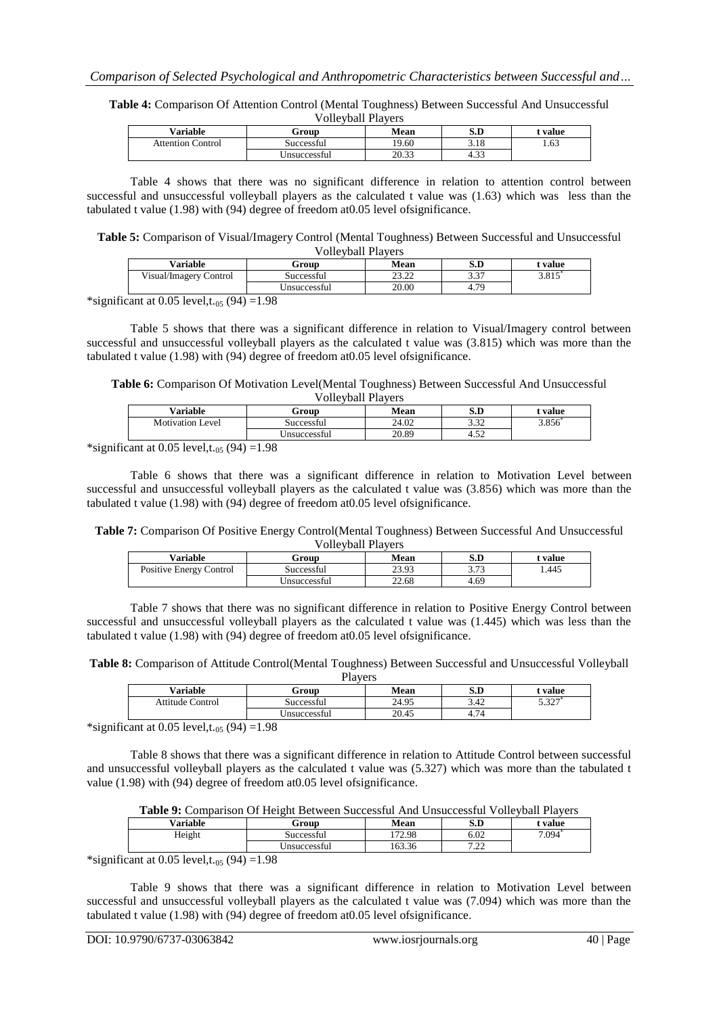**Table 4:** Comparison Of Attention Control (Mental Toughness) Between Successful And Unsuccessful Volleyball Players

| Variable          | Group        | Mean           | S.D            | value |
|-------------------|--------------|----------------|----------------|-------|
| Attention Control | Successful   | 19.60          | 3.18           | 1.63  |
|                   | Jnsuccessful | 20.22<br>20.JJ | $\sim$<br>4.JJ |       |

Table 4 shows that there was no significant difference in relation to attention control between successful and unsuccessful volleyball players as the calculated t value was (1.63) which was less than the tabulated t value (1.98) with (94) degree of freedom at0.05 level ofsignificance.

**Table 5:** Comparison of Visual/Imagery Control (Mental Toughness) Between Successful and Unsuccessful Volleyball Players

| <b>Variable</b>        | Group               | Mean          | S.D          | value |
|------------------------|---------------------|---------------|--------------|-------|
| Visual/Imagery Control | Successful          | ממימ<br>ے۔۔۔۔ | 22<br>، ر. ر | 3.815 |
|                        | <b>Jnsuccessful</b> | 20.00         | 79           |       |

\*significant at 0.05 level,t.<sub>05</sub> (94) = 1.98

Table 5 shows that there was a significant difference in relation to Visual/Imagery control between successful and unsuccessful volleyball players as the calculated t value was (3.815) which was more than the tabulated t value (1.98) with (94) degree of freedom at0.05 level ofsignificance.

**Table 6:** Comparison Of Motivation Level(Mental Toughness) Between Successful And Unsuccessful Volleyball Players

|                         |              | , one , oun 1 ia , or , |                |       |
|-------------------------|--------------|-------------------------|----------------|-------|
| <b>Variable</b>         | Group        | Mean                    | S.D            | value |
| <b>Motivation Level</b> | Successful   | 24.02                   | າ າາ<br>ے د. د | 3.856 |
|                         | Jnsuccessful | 20.89                   | т. ј∠          |       |

\*significant at 0.05 level,t.<sub>05</sub> (94) = 1.98

Table 6 shows that there was a significant difference in relation to Motivation Level between successful and unsuccessful volleyball players as the calculated t value was (3.856) which was more than the tabulated t value (1.98) with (94) degree of freedom at0.05 level ofsignificance.

**Table 7:** Comparison Of Positive Energy Control(Mental Toughness) Between Successful And Unsuccessful Volleyball Players

| V VIIU VUAII 1 IAVUI S  |              |       |             |           |  |  |
|-------------------------|--------------|-------|-------------|-----------|--|--|
| Variable                | Group        | Mean  | S.D         | * value - |  |  |
| Positive Energy Control | Successful   | 23.93 | 272<br>J.IJ | 1.445     |  |  |
|                         | Unsuccessful | 22.68 | 4.69        |           |  |  |

Table 7 shows that there was no significant difference in relation to Positive Energy Control between successful and unsuccessful volleyball players as the calculated t value was (1.445) which was less than the tabulated t value (1.98) with (94) degree of freedom at0.05 level ofsignificance.

**Table 8:** Comparison of Attitude Control(Mental Toughness) Between Successful and Unsuccessful Volleyball Players

| 114 V U D                     |              |             |      |                |  |  |
|-------------------------------|--------------|-------------|------|----------------|--|--|
| $\mathrm{v}_\mathrm{ariable}$ | Group        | <b>Mean</b> | S.D  | : value        |  |  |
| Attitude Control              | Successful   | 24.95       | 3.42 | רמי ב<br>5.32. |  |  |
|                               | Unsuccessful | 20.45       | 4.74 |                |  |  |

\*significant at 0.05 level,t.<sub>05</sub> (94) =1.98

Table 8 shows that there was a significant difference in relation to Attitude Control between successful and unsuccessful volleyball players as the calculated t value was (5.327) which was more than the tabulated t value (1.98) with (94) degree of freedom at0.05 level ofsignificance.

| <b>Variable</b> | Group        | Mean   | S.D         | : value |
|-----------------|--------------|--------|-------------|---------|
| Height          | Successful   | 172.98 | 6.02        | 7.094   |
|                 | Jnsuccessful | 163.36 | 7.22<br>ے گ |         |

\*significant at 0.05 level,t.<sub>05</sub> (94) = 1.98

Table 9 shows that there was a significant difference in relation to Motivation Level between successful and unsuccessful volleyball players as the calculated t value was (7.094) which was more than the tabulated t value (1.98) with (94) degree of freedom at0.05 level ofsignificance.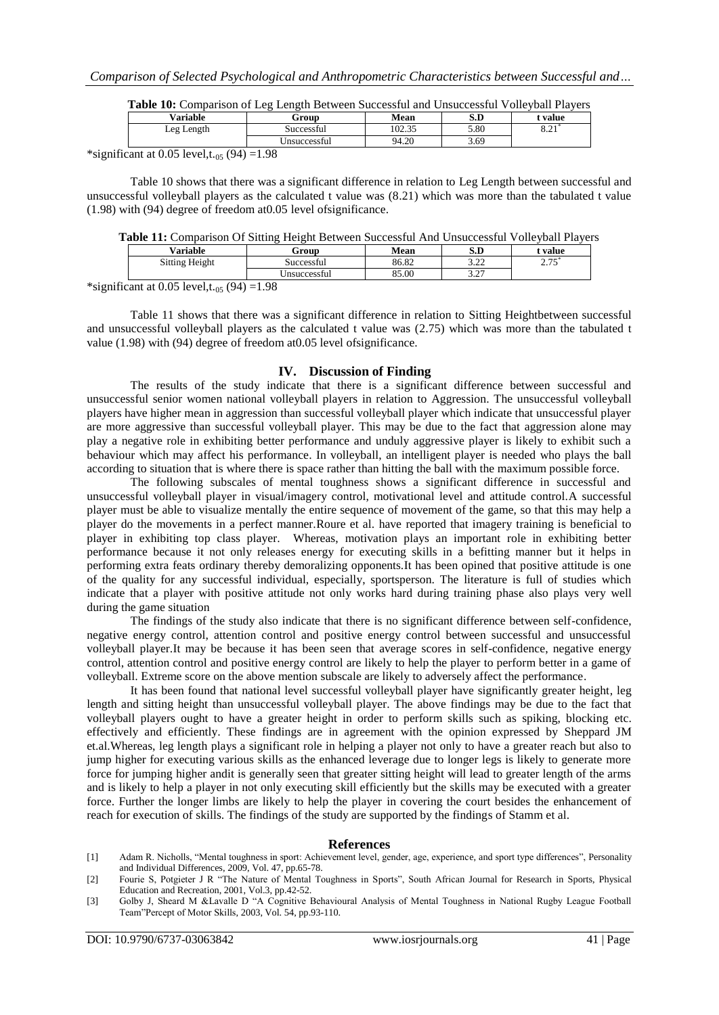| <b>Variable</b> | Group        | Mean   | S.D  | <b>value</b> |
|-----------------|--------------|--------|------|--------------|
| Leg Length      | Successful   | 102.35 | 5.80 | 0.21         |
|                 | Jnsuccessful | 94.20  | 3.69 |              |

| Table 10: Comparison of Leg Length Between Successful and Unsuccessful Volleyball Players |  |  |
|-------------------------------------------------------------------------------------------|--|--|
|                                                                                           |  |  |

\*significant at 0.05 level,t.<sub>05</sub> (94) = 1.98

Table 10 shows that there was a significant difference in relation to Leg Length between successful and unsuccessful volleyball players as the calculated t value was (8.21) which was more than the tabulated t value (1.98) with (94) degree of freedom at0.05 level ofsignificance.

|  |  |  |  |  | Table 11: Comparison Of Sitting Height Between Successful And Unsuccessful Volleyball Players |  |
|--|--|--|--|--|-----------------------------------------------------------------------------------------------|--|
|  |  |  |  |  |                                                                                               |  |

| $\mathrm{v}_\mathrm{ariable}$ | Group        | Mean  | $\alpha$ m<br>க.ப | <b>value</b>     |  |
|-------------------------------|--------------|-------|-------------------|------------------|--|
| Sitting Height                | Successful   | 86.82 | າ າາ<br>ے ۔۔ ب    | $- -$<br>ن ا و ک |  |
|                               | ∪nsuccessful | 85.00 | $\sim$<br>ا ہے، ب |                  |  |

\*significant at 0.05 level,t.<sub>05</sub> (94) =1.98

Table 11 shows that there was a significant difference in relation to Sitting Heightbetween successful and unsuccessful volleyball players as the calculated t value was (2.75) which was more than the tabulated t value (1.98) with (94) degree of freedom at0.05 level ofsignificance.

#### **IV. Discussion of Finding**

The results of the study indicate that there is a significant difference between successful and unsuccessful senior women national volleyball players in relation to Aggression. The unsuccessful volleyball players have higher mean in aggression than successful volleyball player which indicate that unsuccessful player are more aggressive than successful volleyball player. This may be due to the fact that aggression alone may play a negative role in exhibiting better performance and unduly aggressive player is likely to exhibit such a behaviour which may affect his performance. In volleyball, an intelligent player is needed who plays the ball according to situation that is where there is space rather than hitting the ball with the maximum possible force.

The following subscales of mental toughness shows a significant difference in successful and unsuccessful volleyball player in visual/imagery control, motivational level and attitude control.A successful player must be able to visualize mentally the entire sequence of movement of the game, so that this may help a player do the movements in a perfect manner.Roure et al. have reported that imagery training is beneficial to player in exhibiting top class player. Whereas, motivation plays an important role in exhibiting better performance because it not only releases energy for executing skills in a befitting manner but it helps in performing extra feats ordinary thereby demoralizing opponents.It has been opined that positive attitude is one of the quality for any successful individual, especially, sportsperson. The literature is full of studies which indicate that a player with positive attitude not only works hard during training phase also plays very well during the game situation

The findings of the study also indicate that there is no significant difference between self-confidence, negative energy control, attention control and positive energy control between successful and unsuccessful volleyball player.It may be because it has been seen that average scores in self-confidence, negative energy control, attention control and positive energy control are likely to help the player to perform better in a game of volleyball. Extreme score on the above mention subscale are likely to adversely affect the performance.

It has been found that national level successful volleyball player have significantly greater height, leg length and sitting height than unsuccessful volleyball player. The above findings may be due to the fact that volleyball players ought to have a greater height in order to perform skills such as spiking, blocking etc. effectively and efficiently. These findings are in agreement with the opinion expressed by Sheppard JM et.al.Whereas, leg length plays a significant role in helping a player not only to have a greater reach but also to jump higher for executing various skills as the enhanced leverage due to longer legs is likely to generate more force for jumping higher andit is generally seen that greater sitting height will lead to greater length of the arms and is likely to help a player in not only executing skill efficiently but the skills may be executed with a greater force. Further the longer limbs are likely to help the player in covering the court besides the enhancement of reach for execution of skills. The findings of the study are supported by the findings of Stamm et al.

#### **References**

- [1] Adam R. Nicholls, "Mental toughness in sport: Achievement level, gender, age, experience, and sport type differences", Personality and Individual Differences, 2009, Vol. 47, pp.65-78.
- [2] Fourie S, Potgieter J R "The Nature of Mental Toughness in Sports", South African Journal for Research in Sports, Physical Education and Recreation, 2001, Vol.3, pp.42-52.

<sup>[3]</sup> Golby J, Sheard M &Lavalle D "A Cognitive Behavioural Analysis of Mental Toughness in National Rugby League Football Team"Percept of Motor Skills, 2003, Vol. 54, pp.93-110.